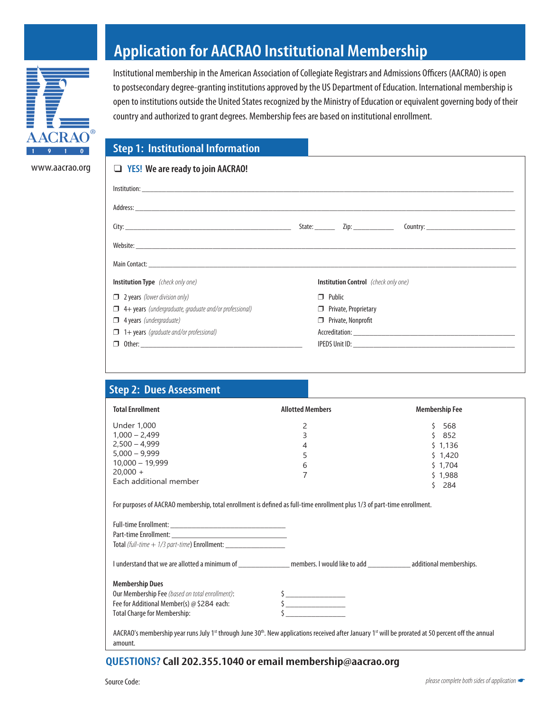

www.aacrao.org

## **Application for AACRAO Institutional Membership**

Institutional membership in the American Association of Collegiate Registrars and Admissions Officers (AACRAO) is open to postsecondary degree-granting institutions approved by the US Department of Education. International membership is open to institutions outside the United States recognized by the Ministry of Education or equivalent governing body of their country and authorized to grant degrees. Membership fees are based on institutional enrollment.

## **Step 1: Institutional Information**

| $\Box$ YES! We are ready to join AACRAO!                      |                                             |                             |  |  |
|---------------------------------------------------------------|---------------------------------------------|-----------------------------|--|--|
|                                                               |                                             |                             |  |  |
|                                                               |                                             |                             |  |  |
|                                                               |                                             |                             |  |  |
|                                                               |                                             |                             |  |  |
|                                                               |                                             |                             |  |  |
| <b>Institution Type</b> (check only one)                      | <b>Institution Control</b> (check only one) |                             |  |  |
| $\Box$ 2 years (lower division only)                          | $\Box$ Public                               |                             |  |  |
| $\Box$ 4+ years (undergraduate, graduate and/or professional) |                                             | $\Box$ Private, Proprietary |  |  |
| $\Box$ 4 years (undergraduate)                                | $\Box$ Private, Nonprofit                   |                             |  |  |
| $\Box$ 1+ years (graduate and/or professional)                |                                             |                             |  |  |
| σ.                                                            |                                             |                             |  |  |
|                                                               |                                             |                             |  |  |

| <b>Step 2: Dues Assessment</b>                                                                                                                                                                      |                         |                       |
|-----------------------------------------------------------------------------------------------------------------------------------------------------------------------------------------------------|-------------------------|-----------------------|
| <b>Total Enrollment</b>                                                                                                                                                                             | <b>Allotted Members</b> | <b>Membership Fee</b> |
| <b>Under 1,000</b>                                                                                                                                                                                  | 2                       | 568<br>Ŝ.             |
| $1,000 - 2,499$                                                                                                                                                                                     | 3                       | \$852                 |
| $2,500 - 4,999$                                                                                                                                                                                     | $\overline{4}$          | \$1,136               |
| $5.000 - 9.999$                                                                                                                                                                                     | 5                       | \$1,420               |
| $10,000 - 19,999$                                                                                                                                                                                   | 6                       | \$1,704               |
| $20,000 +$                                                                                                                                                                                          | 7                       | \$1,988               |
| Each additional member                                                                                                                                                                              |                         | $5$ 284               |
| Total (full-time + 1/3 part-time) Enrollment: ___________________________________                                                                                                                   |                         |                       |
| I understand that we are allotted a minimum of ___________________ members. I would like to add ______________ additional memberships.                                                              |                         |                       |
| <b>Membership Dues</b>                                                                                                                                                                              |                         |                       |
| Our Membership Fee (based on total enrollment):                                                                                                                                                     |                         |                       |
| Fee for Additional Member(s) @ \$284 each:                                                                                                                                                          | $\frac{1}{2}$           |                       |
| <b>Total Charge for Membership:</b>                                                                                                                                                                 |                         |                       |
| AACRAO's membership year runs July 1 <sup>st</sup> through June 30 <sup>th</sup> . New applications received after January 1 <sup>st</sup> will be prorated at 50 percent off the annual<br>amount. |                         |                       |

## **QUESTIONS?Call 202.355.1040 or email membership@aacrao.org**